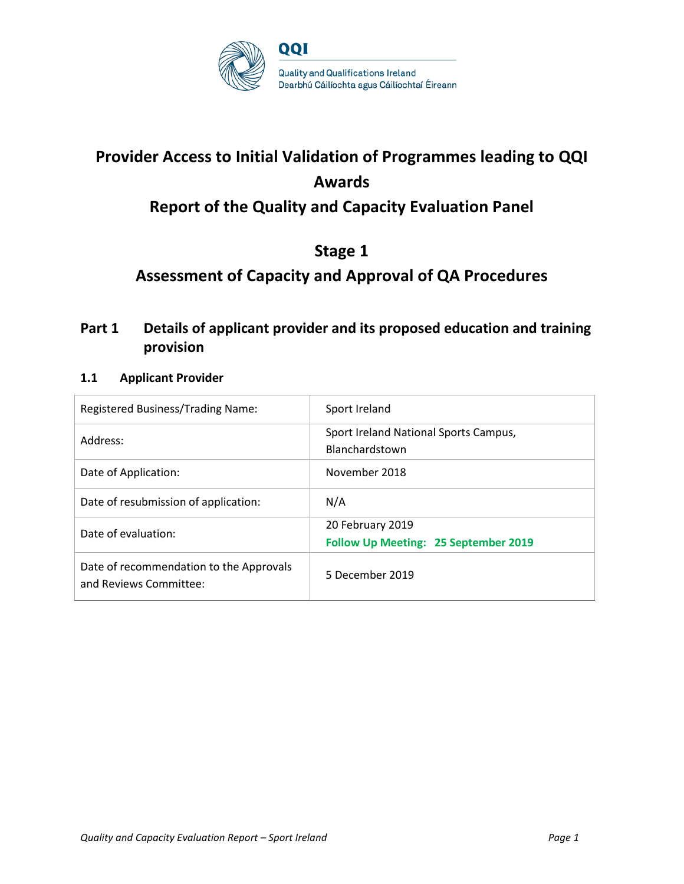

# **Provider Access to Initial Validation of Programmes leading to QQI Awards**

## **Report of the Quality and Capacity Evaluation Panel**

## **Stage 1**

## **Assessment of Capacity and Approval of QA Procedures**

## **Part 1 Details of applicant provider and its proposed education and training provision**

### **1.1 Applicant Provider**

| Registered Business/Trading Name:                                 | Sport Ireland                                                   |
|-------------------------------------------------------------------|-----------------------------------------------------------------|
| Address:                                                          | Sport Ireland National Sports Campus,<br>Blanchardstown         |
| Date of Application:                                              | November 2018                                                   |
| Date of resubmission of application:                              | N/A                                                             |
| Date of evaluation:                                               | 20 February 2019<br><b>Follow Up Meeting: 25 September 2019</b> |
| Date of recommendation to the Approvals<br>and Reviews Committee: | 5 December 2019                                                 |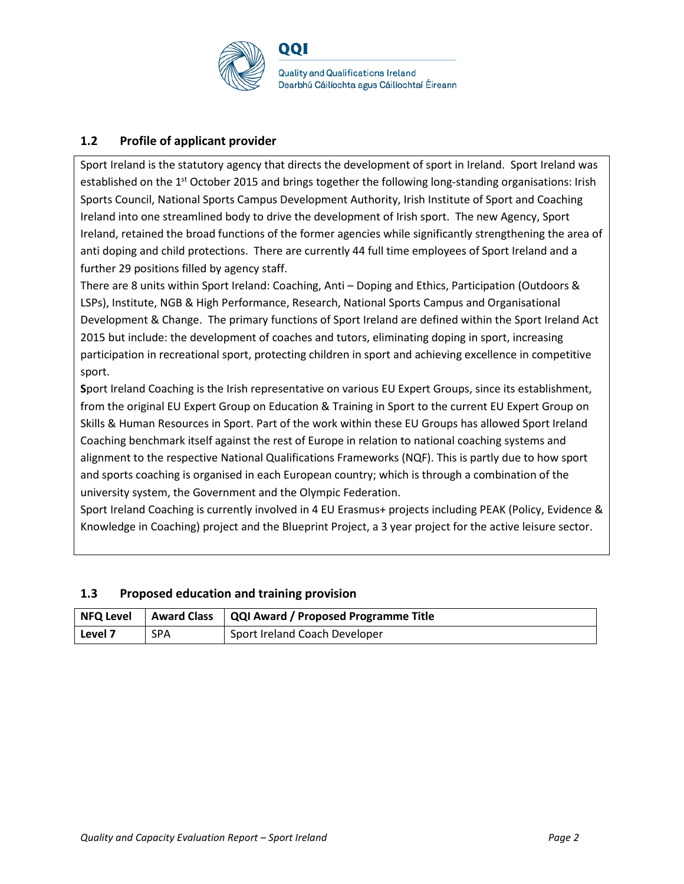

### **1.2 Profile of applicant provider**

Sport Ireland is the statutory agency that directs the development of sport in Ireland. Sport Ireland was established on the 1<sup>st</sup> October 2015 and brings together the following long-standing organisations: Irish Sports Council, National Sports Campus Development Authority, Irish Institute of Sport and Coaching Ireland into one streamlined body to drive the development of Irish sport. The new Agency, Sport Ireland, retained the broad functions of the former agencies while significantly strengthening the area of anti doping and child protections. There are currently 44 full time employees of Sport Ireland and a further 29 positions filled by agency staff.

There are 8 units within Sport Ireland: Coaching, Anti – Doping and Ethics, Participation (Outdoors & LSPs), Institute, NGB & High Performance, Research, National Sports Campus and Organisational Development & Change. The primary functions of Sport Ireland are defined within the Sport Ireland Act 2015 but include: the development of coaches and tutors, eliminating doping in sport, increasing participation in recreational sport, protecting children in sport and achieving excellence in competitive sport.

**S**port Ireland Coaching is the Irish representative on various EU Expert Groups, since its establishment, from the original EU Expert Group on Education & Training in Sport to the current EU Expert Group on Skills & Human Resources in Sport. Part of the work within these EU Groups has allowed Sport Ireland Coaching benchmark itself against the rest of Europe in relation to national coaching systems and alignment to the respective National Qualifications Frameworks (NQF). This is partly due to how sport and sports coaching is organised in each European country; which is through a combination of the university system, the Government and the Olympic Federation.

Sport Ireland Coaching is currently involved in 4 EU Erasmus+ projects including PEAK (Policy, Evidence & Knowledge in Coaching) project and the Blueprint Project, a 3 year project for the active leisure sector.

|         |            | NFQ Level   Award Class   QQI Award / Proposed Programme Title |
|---------|------------|----------------------------------------------------------------|
| Level 7 | <b>SPA</b> | Sport Ireland Coach Developer                                  |

## **1.3 Proposed education and training provision**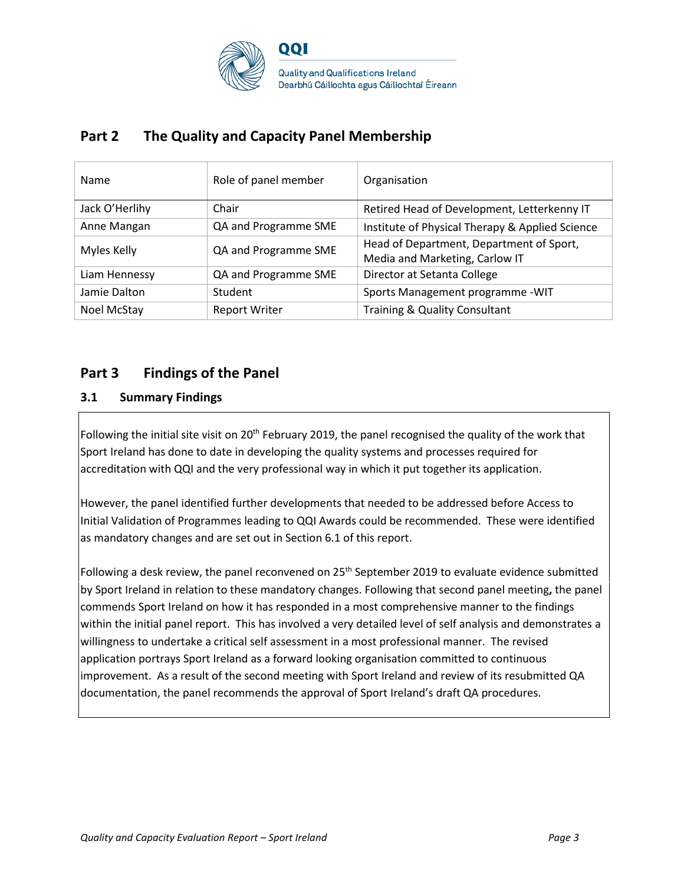

## **Part 2 The Quality and Capacity Panel Membership**

| Name           | Role of panel member | Organisation                                                               |
|----------------|----------------------|----------------------------------------------------------------------------|
| Jack O'Herlihy | Chair                | Retired Head of Development, Letterkenny IT                                |
| Anne Mangan    | QA and Programme SME | Institute of Physical Therapy & Applied Science                            |
| Myles Kelly    | QA and Programme SME | Head of Department, Department of Sport,<br>Media and Marketing, Carlow IT |
| Liam Hennessy  | QA and Programme SME | Director at Setanta College                                                |
| Jamie Dalton   | Student              | Sports Management programme - WIT                                          |
| Noel McStay    | <b>Report Writer</b> | <b>Training &amp; Quality Consultant</b>                                   |

## **Part 3 Findings of the Panel**

### **3.1 Summary Findings**

Following the initial site visit on 20<sup>th</sup> February 2019, the panel recognised the quality of the work that Sport Ireland has done to date in developing the quality systems and processes required for accreditation with QQI and the very professional way in which it put together its application.

However, the panel identified further developments that needed to be addressed before Access to Initial Validation of Programmes leading to QQI Awards could be recommended. These were identified as mandatory changes and are set out in Section 6.1 of this report.

Following a desk review, the panel reconvened on 25<sup>th</sup> September 2019 to evaluate evidence submitted by Sport Ireland in relation to these mandatory changes. Following that second panel meeting**,** the panel commends Sport Ireland on how it has responded in a most comprehensive manner to the findings within the initial panel report. This has involved a very detailed level of self analysis and demonstrates a willingness to undertake a critical self assessment in a most professional manner. The revised application portrays Sport Ireland as a forward looking organisation committed to continuous improvement. As a result of the second meeting with Sport Ireland and review of its resubmitted QA documentation, the panel recommends the approval of Sport Ireland's draft QA procedures.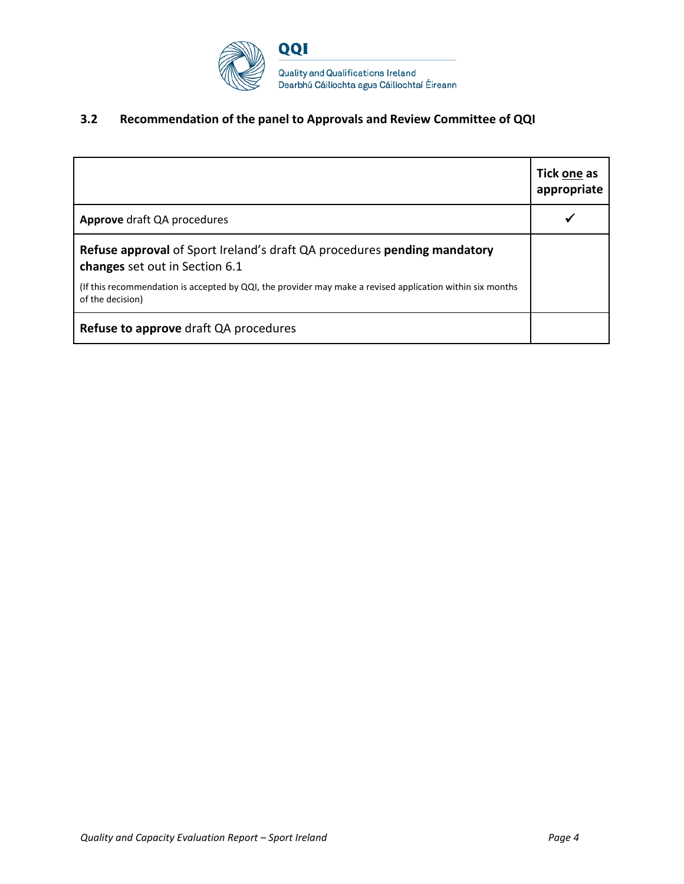

## **3.2 Recommendation of the panel to Approvals and Review Committee of QQI**

|                                                                                                                               | Tick one as<br>appropriate |
|-------------------------------------------------------------------------------------------------------------------------------|----------------------------|
| <b>Approve</b> draft QA procedures                                                                                            |                            |
| <b>Refuse approval of Sport Ireland's draft QA procedures pending mandatory</b><br>changes set out in Section 6.1             |                            |
| (If this recommendation is accepted by QQI, the provider may make a revised application within six months<br>of the decision) |                            |
| Refuse to approve draft QA procedures                                                                                         |                            |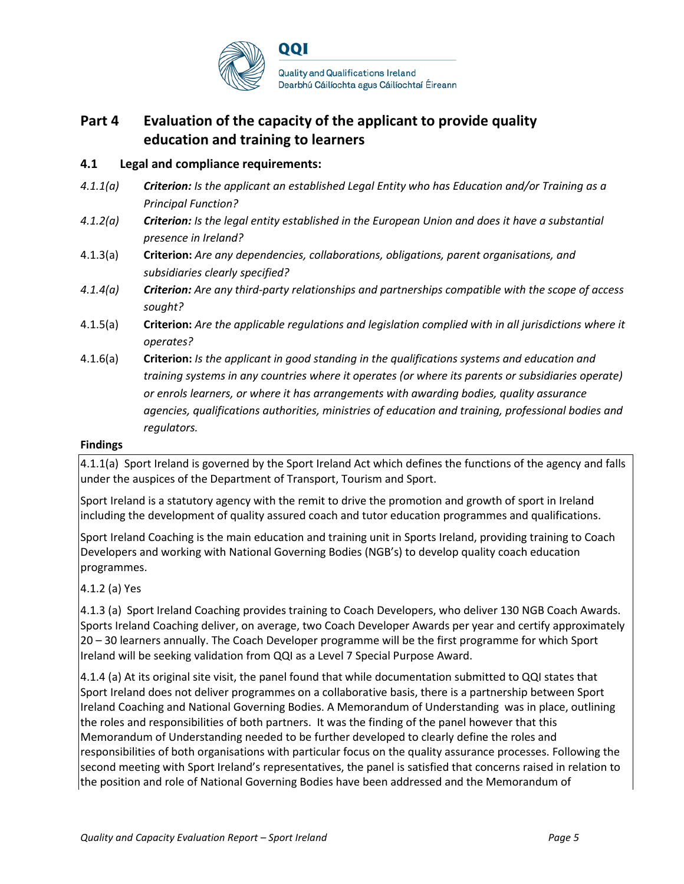

## **Part 4 Evaluation of the capacity of the applicant to provide quality education and training to learners**

### **4.1 Legal and compliance requirements:**

- *4.1.1(a) Criterion: Is the applicant an established Legal Entity who has Education and/or Training as a Principal Function?*
- *4.1.2(a) Criterion: Is the legal entity established in the European Union and does it have a substantial presence in Ireland?*
- 4.1.3(a) **Criterion:** *Are any dependencies, collaborations, obligations, parent organisations, and subsidiaries clearly specified?*
- *4.1.4(a) Criterion: Are any third-party relationships and partnerships compatible with the scope of access sought?*
- 4.1.5(a) **Criterion:** *Are the applicable regulations and legislation complied with in all jurisdictions where it operates?*
- 4.1.6(a) **Criterion:** *Is the applicant in good standing in the qualifications systems and education and training systems in any countries where it operates (or where its parents or subsidiaries operate) or enrols learners, or where it has arrangements with awarding bodies, quality assurance agencies, qualifications authorities, ministries of education and training, professional bodies and regulators.*

#### **Findings**

4.1.1(a) Sport Ireland is governed by the Sport Ireland Act which defines the functions of the agency and falls under the auspices of the Department of Transport, Tourism and Sport.

Sport Ireland is a statutory agency with the remit to drive the promotion and growth of sport in Ireland including the development of quality assured coach and tutor education programmes and qualifications.

Sport Ireland Coaching is the main education and training unit in Sports Ireland, providing training to Coach Developers and working with National Governing Bodies (NGB's) to develop quality coach education programmes.

### 4.1.2 (a) Yes

4.1.3 (a) Sport Ireland Coaching provides training to Coach Developers, who deliver 130 NGB Coach Awards. Sports Ireland Coaching deliver, on average, two Coach Developer Awards per year and certify approximately 20 – 30 learners annually. The Coach Developer programme will be the first programme for which Sport Ireland will be seeking validation from QQI as a Level 7 Special Purpose Award.

4.1.4 (a) At its original site visit, the panel found that while documentation submitted to QQI states that Sport Ireland does not deliver programmes on a collaborative basis, there is a partnership between Sport Ireland Coaching and National Governing Bodies. A Memorandum of Understanding was in place, outlining the roles and responsibilities of both partners. It was the finding of the panel however that this Memorandum of Understanding needed to be further developed to clearly define the roles and responsibilities of both organisations with particular focus on the quality assurance processes. Following the second meeting with Sport Ireland's representatives, the panel is satisfied that concerns raised in relation to the position and role of National Governing Bodies have been addressed and the Memorandum of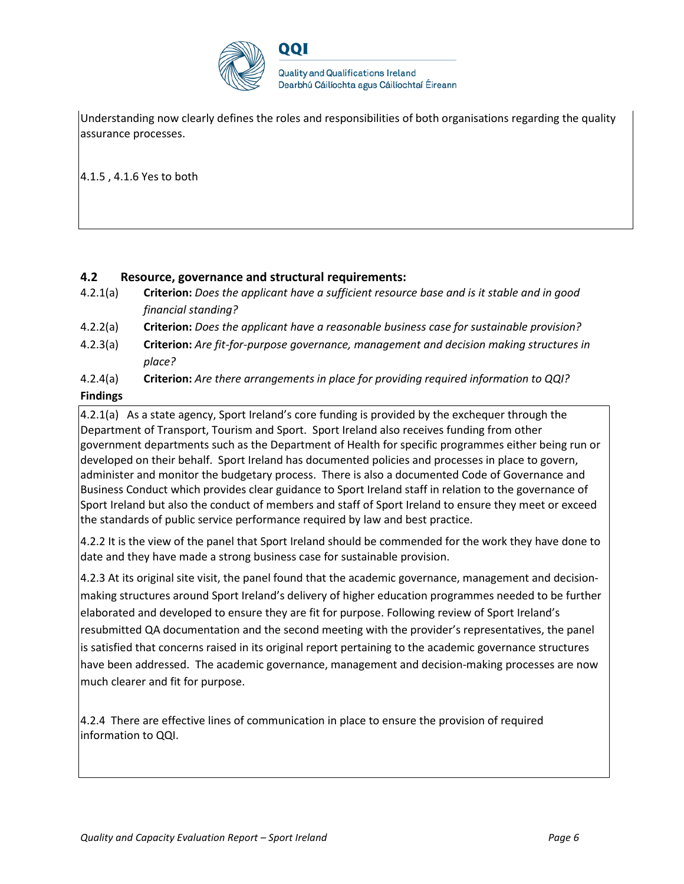

**Quality and Qualifications Ireland** Dearbhú Cáilíochta agus Cáilíochtaí Éireann

Understanding now clearly defines the roles and responsibilities of both organisations regarding the quality assurance processes.

4.1.5 , 4.1.6 Yes to both

### **4.2 Resource, governance and structural requirements:**

- 4.2.1(a) **Criterion:** *Does the applicant have a sufficient resource base and is it stable and in good financial standing?*
- 4.2.2(a) **Criterion:** *Does the applicant have a reasonable business case for sustainable provision?*
- 4.2.3(a) **Criterion:** *Are fit-for-purpose governance, management and decision making structures in place?*
- 4.2.4(a) **Criterion:** *Are there arrangements in place for providing required information to QQI?*

### **Findings**

4.2.1(a) As a state agency, Sport Ireland's core funding is provided by the exchequer through the Department of Transport, Tourism and Sport. Sport Ireland also receives funding from other government departments such as the Department of Health for specific programmes either being run or developed on their behalf. Sport Ireland has documented policies and processes in place to govern, administer and monitor the budgetary process. There is also a documented Code of Governance and Business Conduct which provides clear guidance to Sport Ireland staff in relation to the governance of Sport Ireland but also the conduct of members and staff of Sport Ireland to ensure they meet or exceed the standards of public service performance required by law and best practice.

4.2.2 It is the view of the panel that Sport Ireland should be commended for the work they have done to date and they have made a strong business case for sustainable provision.

4.2.3 At its original site visit, the panel found that the academic governance, management and decisionmaking structures around Sport Ireland's delivery of higher education programmes needed to be further elaborated and developed to ensure they are fit for purpose. Following review of Sport Ireland's resubmitted QA documentation and the second meeting with the provider's representatives, the panel is satisfied that concerns raised in its original report pertaining to the academic governance structures have been addressed. The academic governance, management and decision-making processes are now much clearer and fit for purpose.

4.2.4 There are effective lines of communication in place to ensure the provision of required information to QQI.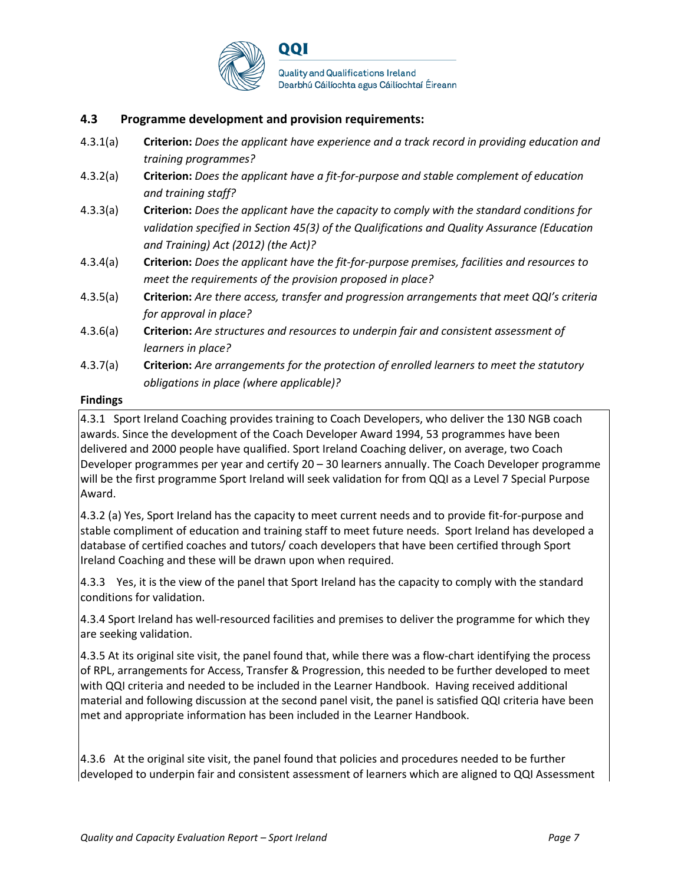

### **4.3 Programme development and provision requirements:**

- 4.3.1(a) **Criterion:** *Does the applicant have experience and a track record in providing education and training programmes?*
- 4.3.2(a) **Criterion:** *Does the applicant have a fit-for-purpose and stable complement of education and training staff?*
- 4.3.3(a) **Criterion:** *Does the applicant have the capacity to comply with the standard conditions for validation specified in Section 45(3) of the Qualifications and Quality Assurance (Education and Training) Act (2012) (the Act)?*
- 4.3.4(a) **Criterion:** *Does the applicant have the fit-for-purpose premises, facilities and resources to meet the requirements of the provision proposed in place?*
- 4.3.5(a) **Criterion:** *Are there access, transfer and progression arrangements that meet QQI's criteria for approval in place?*
- 4.3.6(a) **Criterion:** *Are structures and resources to underpin fair and consistent assessment of learners in place?*
- 4.3.7(a) **Criterion:** *Are arrangements for the protection of enrolled learners to meet the statutory obligations in place (where applicable)?*

#### **Findings**

4.3.1 Sport Ireland Coaching provides training to Coach Developers, who deliver the 130 NGB coach awards. Since the development of the Coach Developer Award 1994, 53 programmes have been delivered and 2000 people have qualified. Sport Ireland Coaching deliver, on average, two Coach Developer programmes per year and certify 20 – 30 learners annually. The Coach Developer programme will be the first programme Sport Ireland will seek validation for from QQI as a Level 7 Special Purpose Award.

4.3.2 (a) Yes, Sport Ireland has the capacity to meet current needs and to provide fit-for-purpose and stable compliment of education and training staff to meet future needs. Sport Ireland has developed a database of certified coaches and tutors/ coach developers that have been certified through Sport Ireland Coaching and these will be drawn upon when required.

4.3.3 Yes, it is the view of the panel that Sport Ireland has the capacity to comply with the standard conditions for validation.

4.3.4 Sport Ireland has well-resourced facilities and premises to deliver the programme for which they are seeking validation.

4.3.5 At its original site visit, the panel found that, while there was a flow-chart identifying the process of RPL, arrangements for Access, Transfer & Progression, this needed to be further developed to meet with QQI criteria and needed to be included in the Learner Handbook. Having received additional material and following discussion at the second panel visit, the panel is satisfied QQI criteria have been met and appropriate information has been included in the Learner Handbook.

4.3.6 At the original site visit, the panel found that policies and procedures needed to be further developed to underpin fair and consistent assessment of learners which are aligned to QQI Assessment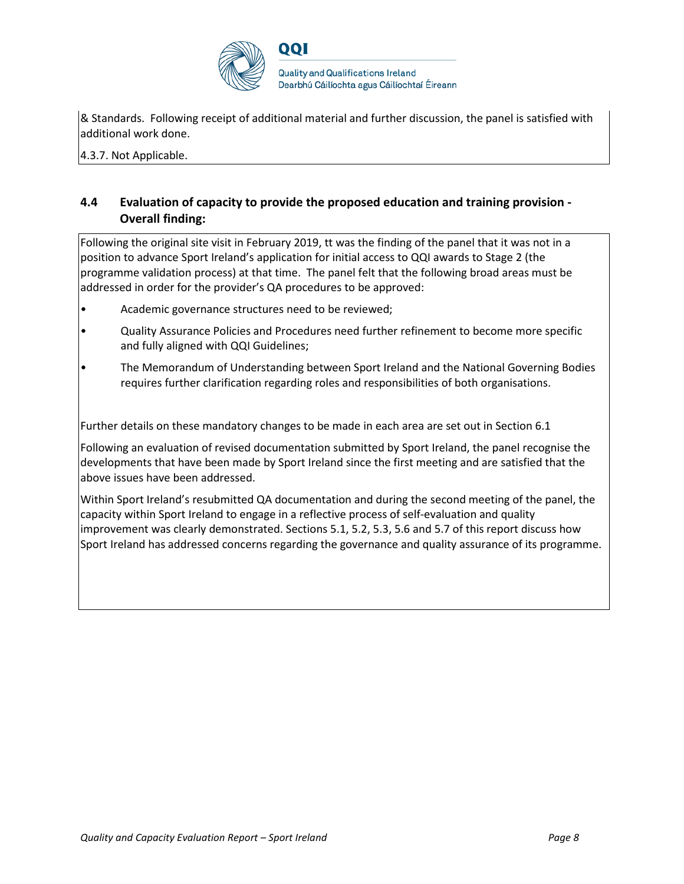

& Standards. Following receipt of additional material and further discussion, the panel is satisfied with additional work done.

4.3.7. Not Applicable.

### **4.4 Evaluation of capacity to provide the proposed education and training provision - Overall finding:**

Following the original site visit in February 2019, tt was the finding of the panel that it was not in a position to advance Sport Ireland's application for initial access to QQI awards to Stage 2 (the programme validation process) at that time. The panel felt that the following broad areas must be addressed in order for the provider's QA procedures to be approved:

- Academic governance structures need to be reviewed;
- Quality Assurance Policies and Procedures need further refinement to become more specific and fully aligned with QQI Guidelines;
- The Memorandum of Understanding between Sport Ireland and the National Governing Bodies requires further clarification regarding roles and responsibilities of both organisations.

Further details on these mandatory changes to be made in each area are set out in Section 6.1

Following an evaluation of revised documentation submitted by Sport Ireland, the panel recognise the developments that have been made by Sport Ireland since the first meeting and are satisfied that the above issues have been addressed.

Within Sport Ireland's resubmitted QA documentation and during the second meeting of the panel, the capacity within Sport Ireland to engage in a reflective process of self-evaluation and quality improvement was clearly demonstrated. Sections 5.1, 5.2, 5.3, 5.6 and 5.7 of this report discuss how Sport Ireland has addressed concerns regarding the governance and quality assurance of its programme.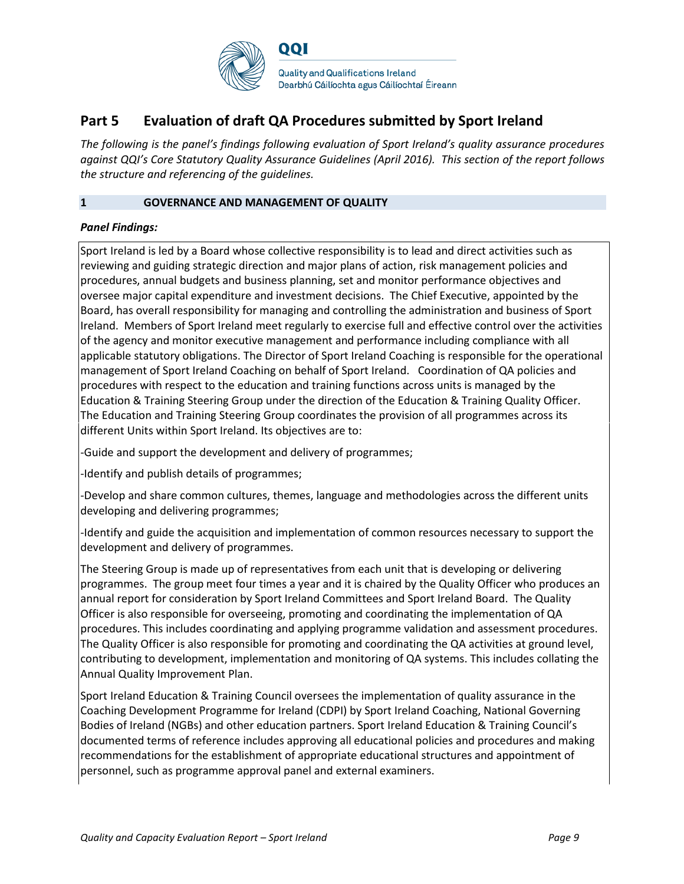

## **Part 5 Evaluation of draft QA Procedures submitted by Sport Ireland**

*The following is the panel's findings following evaluation of Sport Ireland's quality assurance procedures against QQI's Core Statutory Quality Assurance Guidelines (April 2016). This section of the report follows the structure and referencing of the guidelines.* 

#### **1 GOVERNANCE AND MANAGEMENT OF QUALITY**

#### *Panel Findings:*

Sport Ireland is led by a Board whose collective responsibility is to lead and direct activities such as reviewing and guiding strategic direction and major plans of action, risk management policies and procedures, annual budgets and business planning, set and monitor performance objectives and oversee major capital expenditure and investment decisions. The Chief Executive, appointed by the Board, has overall responsibility for managing and controlling the administration and business of Sport Ireland. Members of Sport Ireland meet regularly to exercise full and effective control over the activities of the agency and monitor executive management and performance including compliance with all applicable statutory obligations. The Director of Sport Ireland Coaching is responsible for the operational management of Sport Ireland Coaching on behalf of Sport Ireland. Coordination of QA policies and procedures with respect to the education and training functions across units is managed by the Education & Training Steering Group under the direction of the Education & Training Quality Officer. The Education and Training Steering Group coordinates the provision of all programmes across its different Units within Sport Ireland. Its objectives are to:

-Guide and support the development and delivery of programmes;

-Identify and publish details of programmes;

-Develop and share common cultures, themes, language and methodologies across the different units developing and delivering programmes;

-Identify and guide the acquisition and implementation of common resources necessary to support the development and delivery of programmes.

The Steering Group is made up of representatives from each unit that is developing or delivering programmes. The group meet four times a year and it is chaired by the Quality Officer who produces an annual report for consideration by Sport Ireland Committees and Sport Ireland Board. The Quality Officer is also responsible for overseeing, promoting and coordinating the implementation of QA procedures. This includes coordinating and applying programme validation and assessment procedures. The Quality Officer is also responsible for promoting and coordinating the QA activities at ground level, contributing to development, implementation and monitoring of QA systems. This includes collating the Annual Quality Improvement Plan.

Sport Ireland Education & Training Council oversees the implementation of quality assurance in the Coaching Development Programme for Ireland (CDPI) by Sport Ireland Coaching, National Governing Bodies of Ireland (NGBs) and other education partners. Sport Ireland Education & Training Council's documented terms of reference includes approving all educational policies and procedures and making recommendations for the establishment of appropriate educational structures and appointment of personnel, such as programme approval panel and external examiners.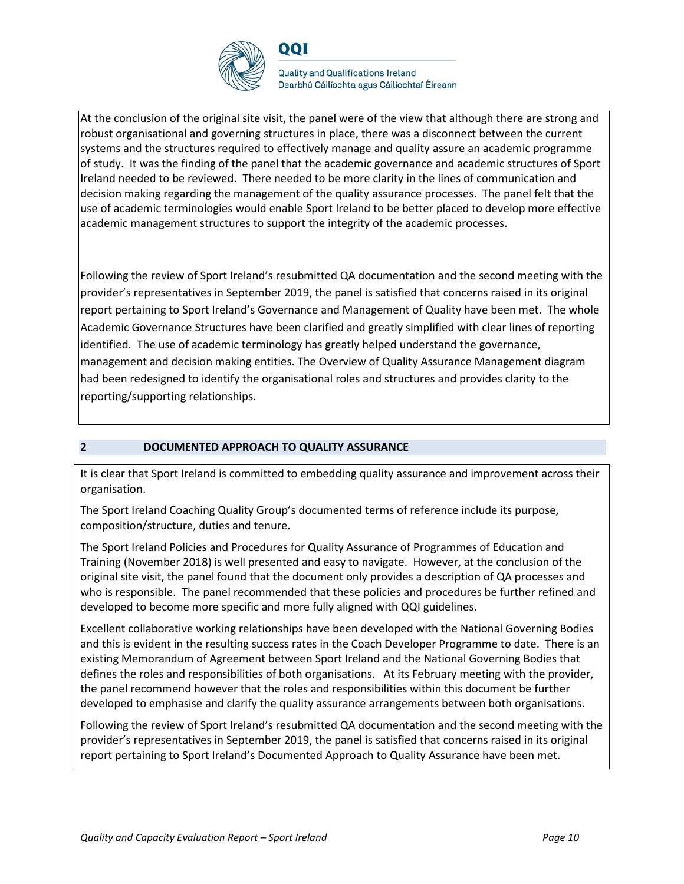

QQI

**Quality and Qualifications Ireland** Dearbhú Cáilíochta agus Cáilíochtaí Éireann

At the conclusion of the original site visit, the panel were of the view that although there are strong and robust organisational and governing structures in place, there was a disconnect between the current systems and the structures required to effectively manage and quality assure an academic programme of study. It was the finding of the panel that the academic governance and academic structures of Sport Ireland needed to be reviewed. There needed to be more clarity in the lines of communication and decision making regarding the management of the quality assurance processes. The panel felt that the use of academic terminologies would enable Sport Ireland to be better placed to develop more effective academic management structures to support the integrity of the academic processes.

Following the review of Sport Ireland's resubmitted QA documentation and the second meeting with the provider's representatives in September 2019, the panel is satisfied that concerns raised in its original report pertaining to Sport Ireland's Governance and Management of Quality have been met. The whole Academic Governance Structures have been clarified and greatly simplified with clear lines of reporting identified. The use of academic terminology has greatly helped understand the governance, management and decision making entities. The Overview of Quality Assurance Management diagram had been redesigned to identify the organisational roles and structures and provides clarity to the reporting/supporting relationships.

#### **2 DOCUMENTED APPROACH TO QUALITY ASSURANCE**

It is clear that Sport Ireland is committed to embedding quality assurance and improvement across their organisation.

The Sport Ireland Coaching Quality Group's documented terms of reference include its purpose, composition/structure, duties and tenure.

The Sport Ireland Policies and Procedures for Quality Assurance of Programmes of Education and Training (November 2018) is well presented and easy to navigate. However, at the conclusion of the original site visit, the panel found that the document only provides a description of QA processes and who is responsible. The panel recommended that these policies and procedures be further refined and developed to become more specific and more fully aligned with QQI guidelines.

Excellent collaborative working relationships have been developed with the National Governing Bodies and this is evident in the resulting success rates in the Coach Developer Programme to date. There is an existing Memorandum of Agreement between Sport Ireland and the National Governing Bodies that defines the roles and responsibilities of both organisations. At its February meeting with the provider, the panel recommend however that the roles and responsibilities within this document be further developed to emphasise and clarify the quality assurance arrangements between both organisations.

Following the review of Sport Ireland's resubmitted QA documentation and the second meeting with the provider's representatives in September 2019, the panel is satisfied that concerns raised in its original report pertaining to Sport Ireland's Documented Approach to Quality Assurance have been met.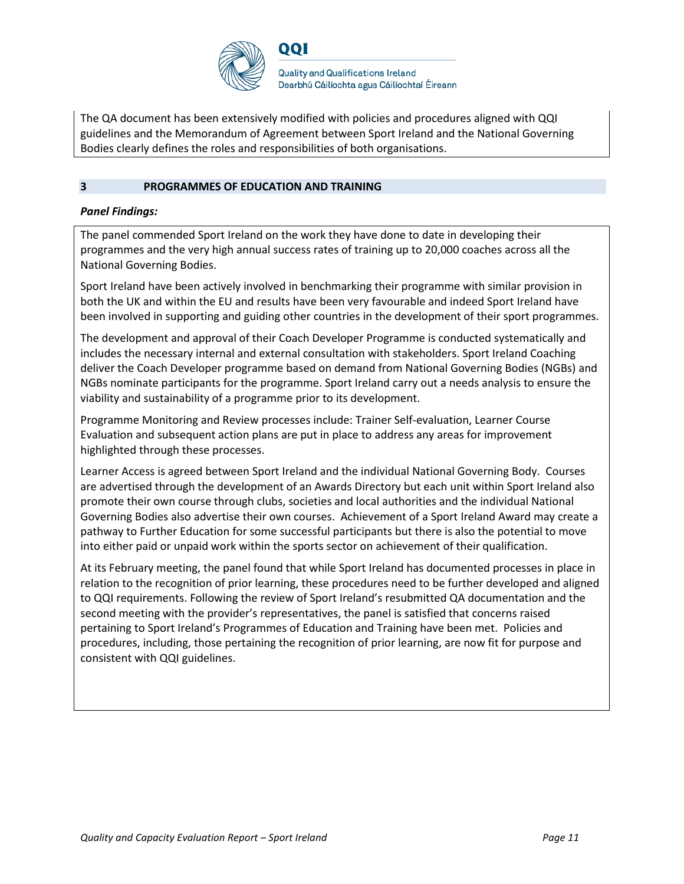

The QA document has been extensively modified with policies and procedures aligned with QQI guidelines and the Memorandum of Agreement between Sport Ireland and the National Governing Bodies clearly defines the roles and responsibilities of both organisations.

#### **3 PROGRAMMES OF EDUCATION AND TRAINING**

#### *Panel Findings:*

The panel commended Sport Ireland on the work they have done to date in developing their programmes and the very high annual success rates of training up to 20,000 coaches across all the National Governing Bodies.

Sport Ireland have been actively involved in benchmarking their programme with similar provision in both the UK and within the EU and results have been very favourable and indeed Sport Ireland have been involved in supporting and guiding other countries in the development of their sport programmes.

The development and approval of their Coach Developer Programme is conducted systematically and includes the necessary internal and external consultation with stakeholders. Sport Ireland Coaching deliver the Coach Developer programme based on demand from National Governing Bodies (NGBs) and NGBs nominate participants for the programme. Sport Ireland carry out a needs analysis to ensure the viability and sustainability of a programme prior to its development.

Programme Monitoring and Review processes include: Trainer Self-evaluation, Learner Course Evaluation and subsequent action plans are put in place to address any areas for improvement highlighted through these processes.

Learner Access is agreed between Sport Ireland and the individual National Governing Body. Courses are advertised through the development of an Awards Directory but each unit within Sport Ireland also promote their own course through clubs, societies and local authorities and the individual National Governing Bodies also advertise their own courses. Achievement of a Sport Ireland Award may create a pathway to Further Education for some successful participants but there is also the potential to move into either paid or unpaid work within the sports sector on achievement of their qualification.

At its February meeting, the panel found that while Sport Ireland has documented processes in place in relation to the recognition of prior learning, these procedures need to be further developed and aligned to QQI requirements. Following the review of Sport Ireland's resubmitted QA documentation and the second meeting with the provider's representatives, the panel is satisfied that concerns raised pertaining to Sport Ireland's Programmes of Education and Training have been met. Policies and procedures, including, those pertaining the recognition of prior learning, are now fit for purpose and consistent with QQI guidelines.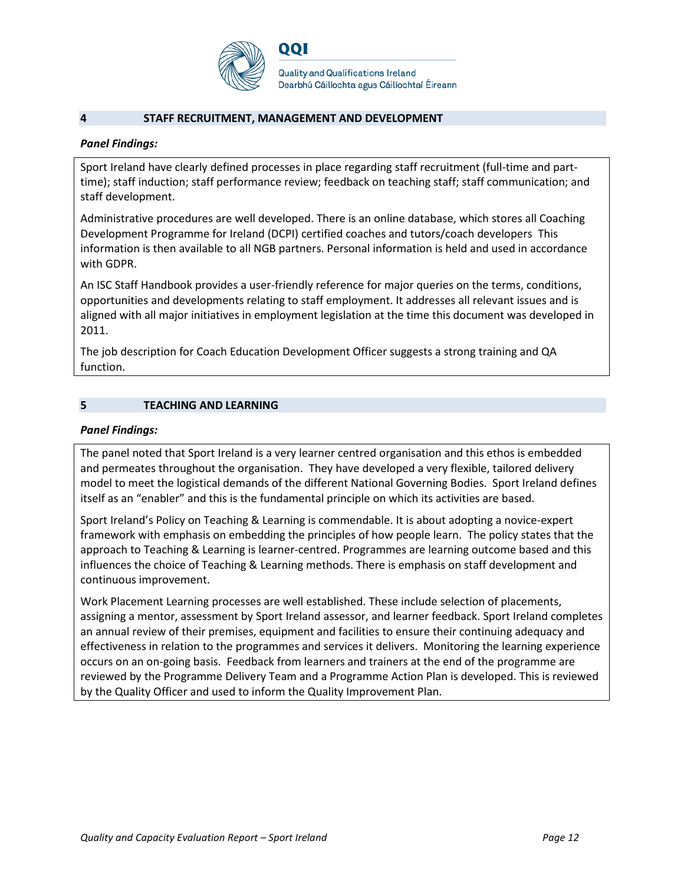

#### **4 STAFF RECRUITMENT, MANAGEMENT AND DEVELOPMENT**

#### *Panel Findings:*

Sport Ireland have clearly defined processes in place regarding staff recruitment (full-time and parttime); staff induction; staff performance review; feedback on teaching staff; staff communication; and staff development.

Administrative procedures are well developed. There is an online database, which stores all Coaching Development Programme for Ireland (DCPI) certified coaches and tutors/coach developers This information is then available to all NGB partners. Personal information is held and used in accordance with GDPR.

An ISC Staff Handbook provides a user-friendly reference for major queries on the terms, conditions, opportunities and developments relating to staff employment. It addresses all relevant issues and is aligned with all major initiatives in employment legislation at the time this document was developed in 2011.

The job description for Coach Education Development Officer suggests a strong training and QA function.

### **5 TEACHING AND LEARNING**

#### *Panel Findings:*

The panel noted that Sport Ireland is a very learner centred organisation and this ethos is embedded and permeates throughout the organisation. They have developed a very flexible, tailored delivery model to meet the logistical demands of the different National Governing Bodies. Sport Ireland defines itself as an "enabler" and this is the fundamental principle on which its activities are based.

Sport Ireland's Policy on Teaching & Learning is commendable. It is about adopting a novice-expert framework with emphasis on embedding the principles of how people learn. The policy states that the approach to Teaching & Learning is learner-centred. Programmes are learning outcome based and this influences the choice of Teaching & Learning methods. There is emphasis on staff development and continuous improvement.

Work Placement Learning processes are well established. These include selection of placements, assigning a mentor, assessment by Sport Ireland assessor, and learner feedback. Sport Ireland completes an annual review of their premises, equipment and facilities to ensure their continuing adequacy and effectiveness in relation to the programmes and services it delivers. Monitoring the learning experience occurs on an on-going basis. Feedback from learners and trainers at the end of the programme are reviewed by the Programme Delivery Team and a Programme Action Plan is developed. This is reviewed by the Quality Officer and used to inform the Quality Improvement Plan.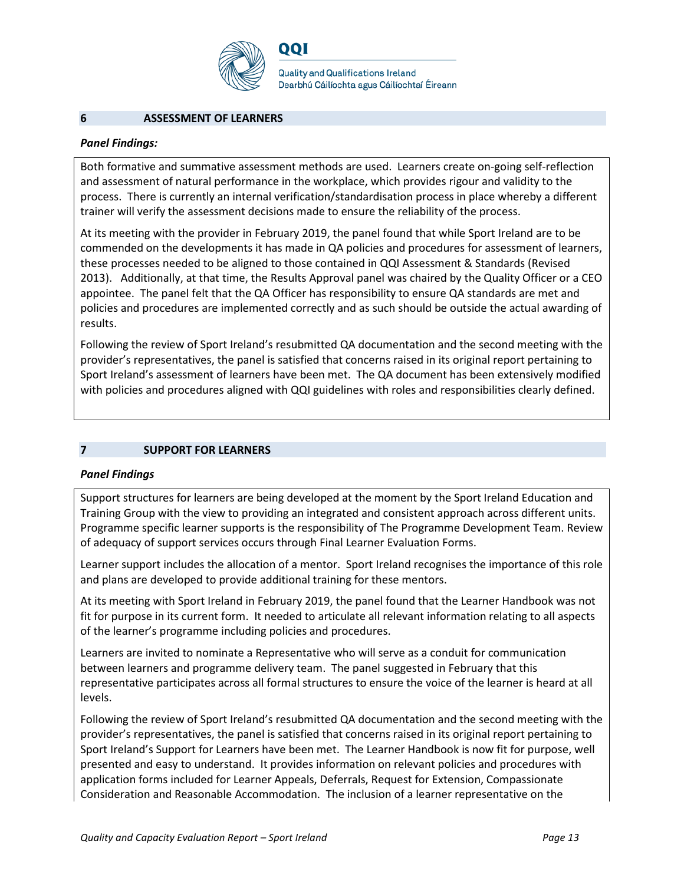

QQI

**Quality and Qualifications Ireland** Dearbhú Cáilíochta agus Cáilíochtaí Éireann

#### **6 ASSESSMENT OF LEARNERS**

#### *Panel Findings:*

Both formative and summative assessment methods are used. Learners create on-going self-reflection and assessment of natural performance in the workplace, which provides rigour and validity to the process. There is currently an internal verification/standardisation process in place whereby a different trainer will verify the assessment decisions made to ensure the reliability of the process.

At its meeting with the provider in February 2019, the panel found that while Sport Ireland are to be commended on the developments it has made in QA policies and procedures for assessment of learners, these processes needed to be aligned to those contained in QQI Assessment & Standards (Revised 2013). Additionally, at that time, the Results Approval panel was chaired by the Quality Officer or a CEO appointee. The panel felt that the QA Officer has responsibility to ensure QA standards are met and policies and procedures are implemented correctly and as such should be outside the actual awarding of results.

Following the review of Sport Ireland's resubmitted QA documentation and the second meeting with the provider's representatives, the panel is satisfied that concerns raised in its original report pertaining to Sport Ireland's assessment of learners have been met. The QA document has been extensively modified with policies and procedures aligned with QQI guidelines with roles and responsibilities clearly defined.

#### **7 SUPPORT FOR LEARNERS**

#### *Panel Findings*

Support structures for learners are being developed at the moment by the Sport Ireland Education and Training Group with the view to providing an integrated and consistent approach across different units. Programme specific learner supports is the responsibility of The Programme Development Team. Review of adequacy of support services occurs through Final Learner Evaluation Forms.

Learner support includes the allocation of a mentor. Sport Ireland recognises the importance of this role and plans are developed to provide additional training for these mentors.

At its meeting with Sport Ireland in February 2019, the panel found that the Learner Handbook was not fit for purpose in its current form. It needed to articulate all relevant information relating to all aspects of the learner's programme including policies and procedures.

Learners are invited to nominate a Representative who will serve as a conduit for communication between learners and programme delivery team. The panel suggested in February that this representative participates across all formal structures to ensure the voice of the learner is heard at all levels.

Following the review of Sport Ireland's resubmitted QA documentation and the second meeting with the provider's representatives, the panel is satisfied that concerns raised in its original report pertaining to Sport Ireland's Support for Learners have been met. The Learner Handbook is now fit for purpose, well presented and easy to understand. It provides information on relevant policies and procedures with application forms included for Learner Appeals, Deferrals, Request for Extension, Compassionate Consideration and Reasonable Accommodation. The inclusion of a learner representative on the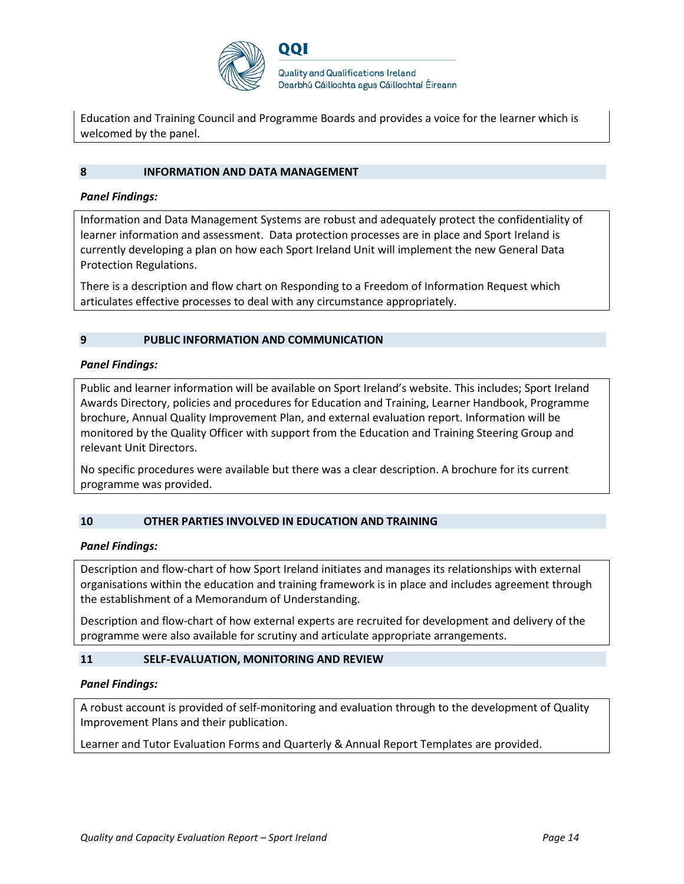

**Quality and Qualifications Ireland** Dearbhú Cáilíochta agus Cáilíochtaí Éireann

Education and Training Council and Programme Boards and provides a voice for the learner which is welcomed by the panel.

#### **8 INFORMATION AND DATA MANAGEMENT**

#### *Panel Findings:*

Information and Data Management Systems are robust and adequately protect the confidentiality of learner information and assessment. Data protection processes are in place and Sport Ireland is currently developing a plan on how each Sport Ireland Unit will implement the new General Data Protection Regulations.

There is a description and flow chart on Responding to a Freedom of Information Request which articulates effective processes to deal with any circumstance appropriately.

#### **9 PUBLIC INFORMATION AND COMMUNICATION**

#### *Panel Findings:*

Public and learner information will be available on Sport Ireland's website. This includes; Sport Ireland Awards Directory, policies and procedures for Education and Training, Learner Handbook, Programme brochure, Annual Quality Improvement Plan, and external evaluation report. Information will be monitored by the Quality Officer with support from the Education and Training Steering Group and relevant Unit Directors.

No specific procedures were available but there was a clear description. A brochure for its current programme was provided.

#### **10 OTHER PARTIES INVOLVED IN EDUCATION AND TRAINING**

#### *Panel Findings:*

Description and flow-chart of how Sport Ireland initiates and manages its relationships with external organisations within the education and training framework is in place and includes agreement through the establishment of a Memorandum of Understanding.

Description and flow-chart of how external experts are recruited for development and delivery of the programme were also available for scrutiny and articulate appropriate arrangements.

#### **11 SELF-EVALUATION, MONITORING AND REVIEW**

#### *Panel Findings:*

A robust account is provided of self-monitoring and evaluation through to the development of Quality Improvement Plans and their publication.

Learner and Tutor Evaluation Forms and Quarterly & Annual Report Templates are provided.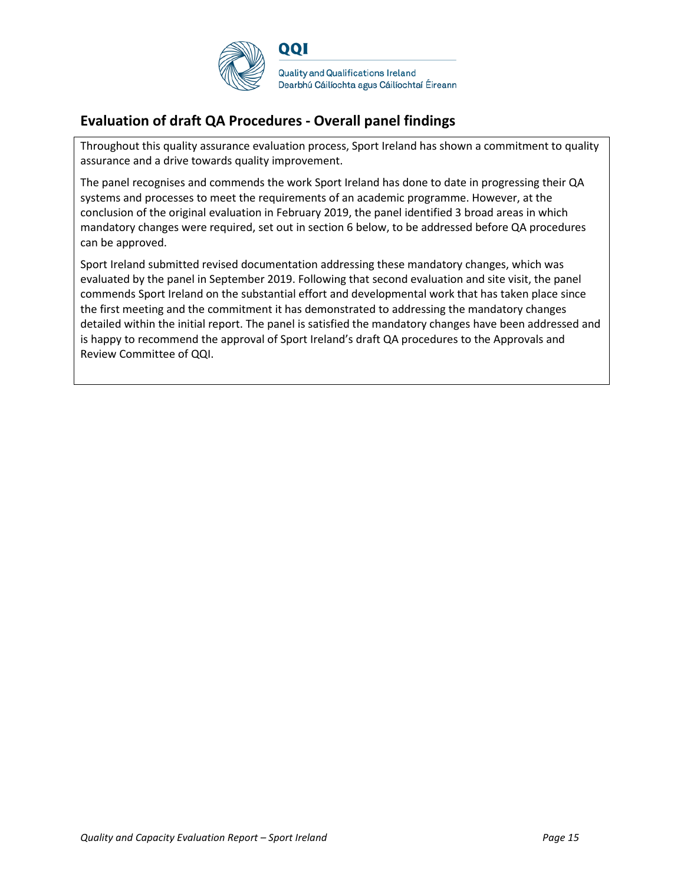

## **Evaluation of draft QA Procedures - Overall panel findings**

Throughout this quality assurance evaluation process, Sport Ireland has shown a commitment to quality assurance and a drive towards quality improvement.

The panel recognises and commends the work Sport Ireland has done to date in progressing their QA systems and processes to meet the requirements of an academic programme. However, at the conclusion of the original evaluation in February 2019, the panel identified 3 broad areas in which mandatory changes were required, set out in section 6 below, to be addressed before QA procedures can be approved.

Sport Ireland submitted revised documentation addressing these mandatory changes, which was evaluated by the panel in September 2019. Following that second evaluation and site visit, the panel commends Sport Ireland on the substantial effort and developmental work that has taken place since the first meeting and the commitment it has demonstrated to addressing the mandatory changes detailed within the initial report. The panel is satisfied the mandatory changes have been addressed and is happy to recommend the approval of Sport Ireland's draft QA procedures to the Approvals and Review Committee of QQI.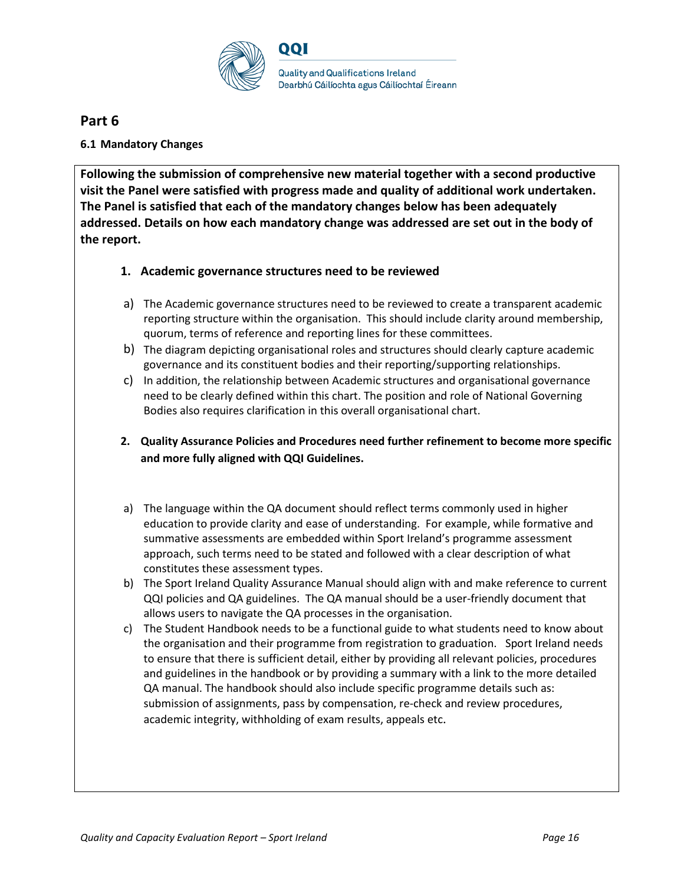

## **Part 6**

### **6.1 Mandatory Changes**

**Following the submission of comprehensive new material together with a second productive visit the Panel were satisfied with progress made and quality of additional work undertaken. The Panel is satisfied that each of the mandatory changes below has been adequately addressed. Details on how each mandatory change was addressed are set out in the body of the report.** 

### **1. Academic governance structures need to be reviewed**

- a) The Academic governance structures need to be reviewed to create a transparent academic reporting structure within the organisation. This should include clarity around membership, quorum, terms of reference and reporting lines for these committees.
- b) The diagram depicting organisational roles and structures should clearly capture academic governance and its constituent bodies and their reporting/supporting relationships.
- c) In addition, the relationship between Academic structures and organisational governance need to be clearly defined within this chart. The position and role of National Governing Bodies also requires clarification in this overall organisational chart.
- **2. Quality Assurance Policies and Procedures need further refinement to become more specific and more fully aligned with QQI Guidelines.**
- a) The language within the QA document should reflect terms commonly used in higher education to provide clarity and ease of understanding. For example, while formative and summative assessments are embedded within Sport Ireland's programme assessment approach, such terms need to be stated and followed with a clear description of what constitutes these assessment types.
- b) The Sport Ireland Quality Assurance Manual should align with and make reference to current QQI policies and QA guidelines. The QA manual should be a user-friendly document that allows users to navigate the QA processes in the organisation.
- c) The Student Handbook needs to be a functional guide to what students need to know about the organisation and their programme from registration to graduation. Sport Ireland needs to ensure that there is sufficient detail, either by providing all relevant policies, procedures and guidelines in the handbook or by providing a summary with a link to the more detailed QA manual. The handbook should also include specific programme details such as: submission of assignments, pass by compensation, re-check and review procedures, academic integrity, withholding of exam results, appeals etc.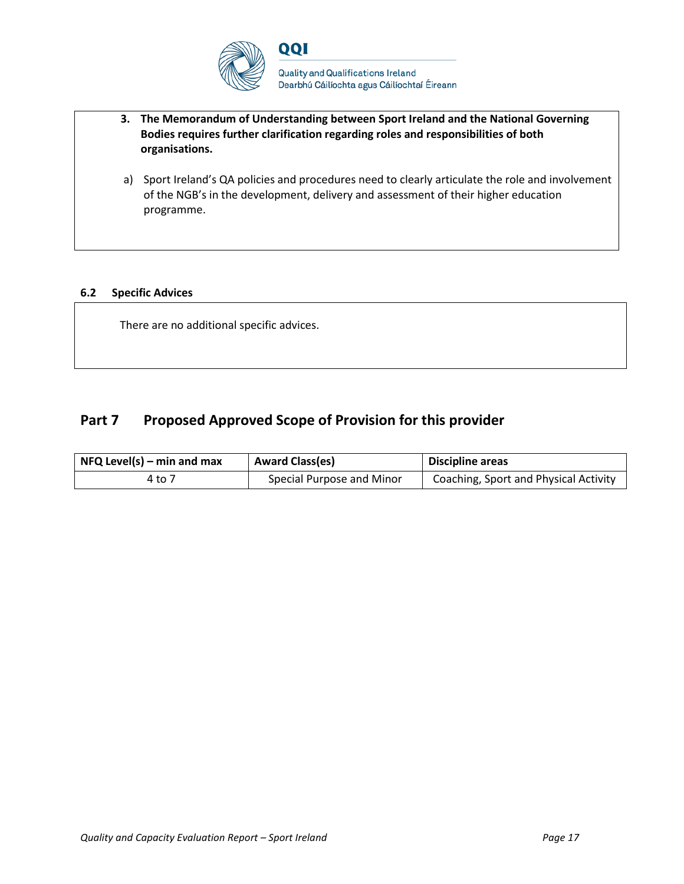

**Quality and Qualifications Ireland** Dearbhú Cáilíochta agus Cáilíochtaí Éireann

- **3. The Memorandum of Understanding between Sport Ireland and the National Governing Bodies requires further clarification regarding roles and responsibilities of both organisations.**
- a) Sport Ireland's QA policies and procedures need to clearly articulate the role and involvement of the NGB's in the development, delivery and assessment of their higher education programme.

#### **6.2 Specific Advices**

There are no additional specific advices.

## Part 7 Proposed Approved Scope of Provision for this provider

| $NFA$ Level(s) – min and max | <b>Award Class(es)</b>    | Discipline areas                      |
|------------------------------|---------------------------|---------------------------------------|
| 4 to 7                       | Special Purpose and Minor | Coaching, Sport and Physical Activity |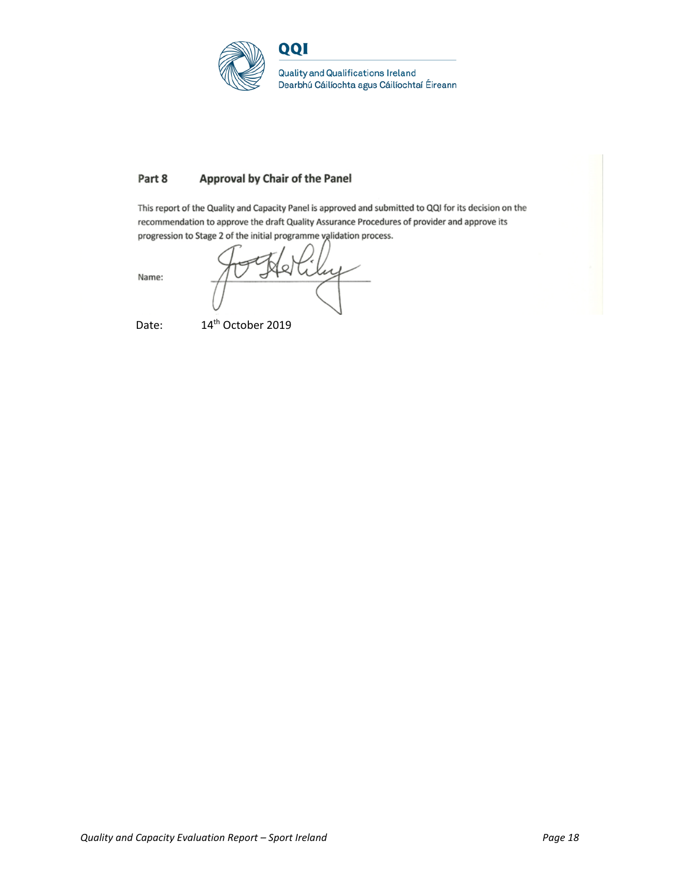

#### Part 8 Approval by Chair of the Panel

This report of the Quality and Capacity Panel is approved and submitted to QQI for its decision on the recommendation to approve the draft Quality Assurance Procedures of provider and approve its progression to Stage 2 of the initial programme validation process.

 $\omega$ 

Name:

Date: 14<sup>th</sup> October 2019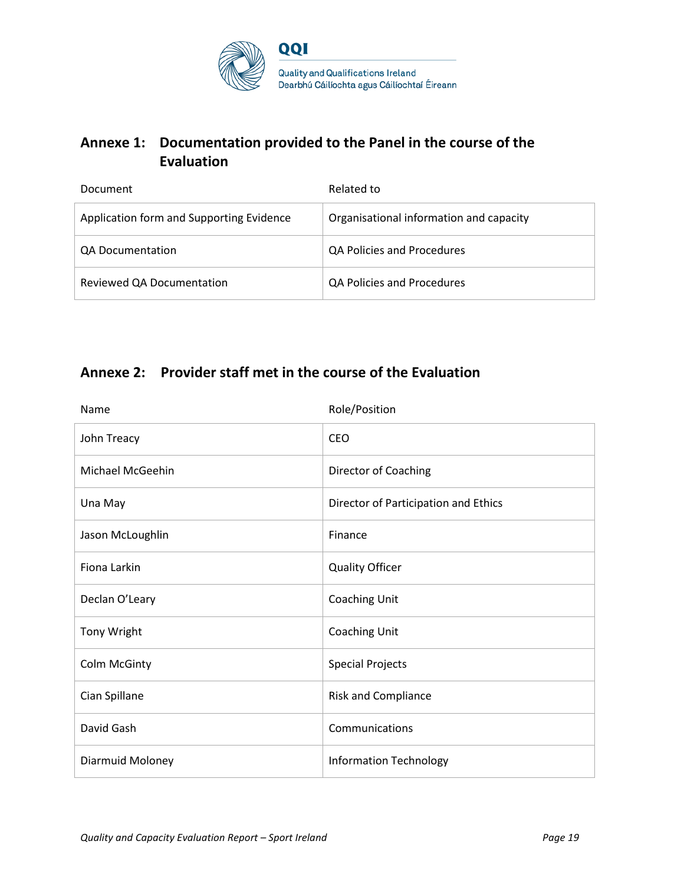

## **Annexe 1: Documentation provided to the Panel in the course of the Evaluation**

| Document                                 | Related to                              |
|------------------------------------------|-----------------------------------------|
| Application form and Supporting Evidence | Organisational information and capacity |
| QA Documentation                         | QA Policies and Procedures              |
| Reviewed QA Documentation                | QA Policies and Procedures              |

## **Annexe 2: Provider staff met in the course of the Evaluation**

| Name             | Role/Position                        |
|------------------|--------------------------------------|
| John Treacy      | <b>CEO</b>                           |
| Michael McGeehin | Director of Coaching                 |
| Una May          | Director of Participation and Ethics |
| Jason McLoughlin | Finance                              |
| Fiona Larkin     | <b>Quality Officer</b>               |
| Declan O'Leary   | Coaching Unit                        |
| Tony Wright      | Coaching Unit                        |
| Colm McGinty     | <b>Special Projects</b>              |
| Cian Spillane    | <b>Risk and Compliance</b>           |
| David Gash       | Communications                       |
| Diarmuid Moloney | <b>Information Technology</b>        |